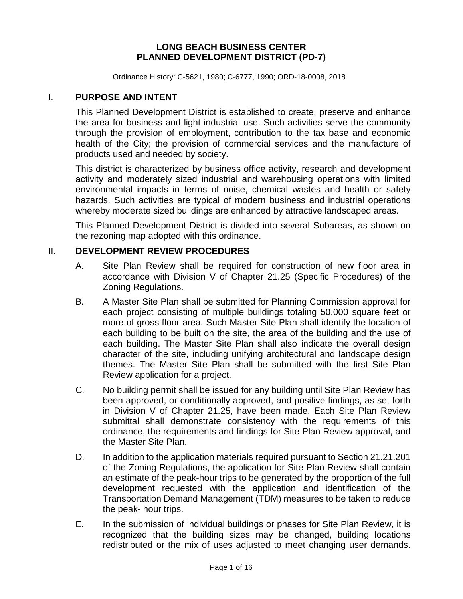### **LONG BEACH BUSINESS CENTER PLANNED DEVELOPMENT DISTRICT (PD-7)**

Ordinance History: C-5621, 1980; C-6777, 1990; ORD-18-0008, 2018.

### I. **PURPOSE AND INTENT**

This Planned Development District is established to create, preserve and enhance the area for business and light industrial use. Such activities serve the community through the provision of employment, contribution to the tax base and economic health of the City; the provision of commercial services and the manufacture of products used and needed by society.

This district is characterized by business office activity, research and development activity and moderately sized industrial and warehousing operations with limited environmental impacts in terms of noise, chemical wastes and health or safety hazards. Such activities are typical of modern business and industrial operations whereby moderate sized buildings are enhanced by attractive landscaped areas.

This Planned Development District is divided into several Subareas, as shown on the rezoning map adopted with this ordinance.

### II. **DEVELOPMENT REVIEW PROCEDURES**

- A. Site Plan Review shall be required for construction of new floor area in accordance with Division V of Chapter 21.25 (Specific Procedures) of the Zoning Regulations.
- B. A Master Site Plan shall be submitted for Planning Commission approval for each project consisting of multiple buildings totaling 50,000 square feet or more of gross floor area. Such Master Site Plan shall identify the location of each building to be built on the site, the area of the building and the use of each building. The Master Site Plan shall also indicate the overall design character of the site, including unifying architectural and landscape design themes. The Master Site Plan shall be submitted with the first Site Plan Review application for a project.
- C. No building permit shall be issued for any building until Site Plan Review has been approved, or conditionally approved, and positive findings, as set forth in Division V of Chapter 21.25, have been made. Each Site Plan Review submittal shall demonstrate consistency with the requirements of this ordinance, the requirements and findings for Site Plan Review approval, and the Master Site Plan.
- D. In addition to the application materials required pursuant to Section 21.21.201 of the Zoning Regulations, the application for Site Plan Review shall contain an estimate of the peak-hour trips to be generated by the proportion of the full development requested with the application and identification of the Transportation Demand Management (TDM) measures to be taken to reduce the peak- hour trips.
- E. In the submission of individual buildings or phases for Site Plan Review, it is recognized that the building sizes may be changed, building locations redistributed or the mix of uses adjusted to meet changing user demands.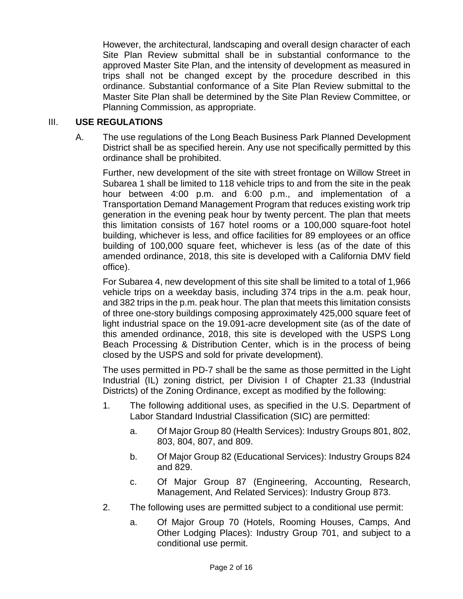However, the architectural, landscaping and overall design character of each Site Plan Review submittal shall be in substantial conformance to the approved Master Site Plan, and the intensity of development as measured in trips shall not be changed except by the procedure described in this ordinance. Substantial conformance of a Site Plan Review submittal to the Master Site Plan shall be determined by the Site Plan Review Committee, or Planning Commission, as appropriate.

## III. **USE REGULATIONS**

A. The use regulations of the Long Beach Business Park Planned Development District shall be as specified herein. Any use not specifically permitted by this ordinance shall be prohibited.

Further, new development of the site with street frontage on Willow Street in Subarea 1 shall be limited to 118 vehicle trips to and from the site in the peak hour between 4:00 p.m. and 6:00 p.m., and implementation of a Transportation Demand Management Program that reduces existing work trip generation in the evening peak hour by twenty percent. The plan that meets this limitation consists of 167 hotel rooms or a 100,000 square-foot hotel building, whichever is less, and office facilities for 89 employees or an office building of 100,000 square feet, whichever is less (as of the date of this amended ordinance, 2018, this site is developed with a California DMV field office).

For Subarea 4, new development of this site shall be limited to a total of 1,966 vehicle trips on a weekday basis, including 374 trips in the a.m. peak hour, and 382 trips in the p.m. peak hour. The plan that meets this limitation consists of three one-story buildings composing approximately 425,000 square feet of light industrial space on the 19.091-acre development site (as of the date of this amended ordinance, 2018, this site is developed with the USPS Long Beach Processing & Distribution Center, which is in the process of being closed by the USPS and sold for private development).

The uses permitted in PD-7 shall be the same as those permitted in the Light Industrial (IL) zoning district, per Division I of Chapter 21.33 (Industrial Districts) of the Zoning Ordinance, except as modified by the following:

- 1. The following additional uses, as specified in the U.S. Department of Labor Standard Industrial Classification (SIC) are permitted:
	- a. Of Major Group 80 (Health Services): Industry Groups 801, 802, 803, 804, 807, and 809.
	- b. Of Major Group 82 (Educational Services): Industry Groups 824 and 829.
	- c. Of Major Group 87 (Engineering, Accounting, Research, Management, And Related Services): Industry Group 873.
- 2. The following uses are permitted subject to a conditional use permit:
	- a. Of Major Group 70 (Hotels, Rooming Houses, Camps, And Other Lodging Places): Industry Group 701, and subject to a conditional use permit.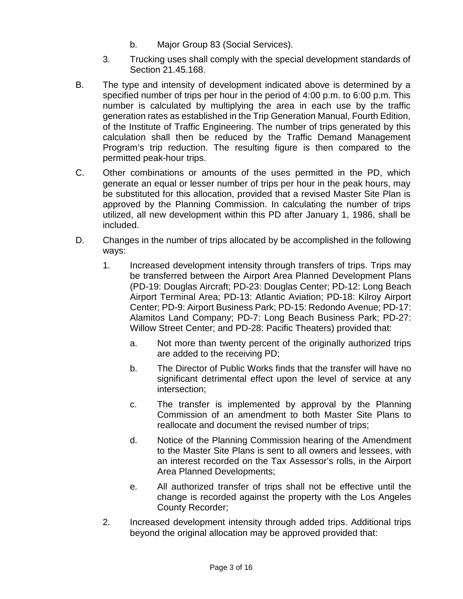- b. Major Group 83 (Social Services).
- 3. Trucking uses shall comply with the special development standards of Section 21.45.168.
- B. The type and intensity of development indicated above is determined by a specified number of trips per hour in the period of 4:00 p.m. to 6:00 p.m. This number is calculated by multiplying the area in each use by the traffic generation rates as established in the Trip Generation Manual, Fourth Edition, of the Institute of Traffic Engineering. The number of trips generated by this calculation shall then be reduced by the Traffic Demand Management Program's trip reduction. The resulting figure is then compared to the permitted peak-hour trips.
- C. Other combinations or amounts of the uses permitted in the PD, which generate an equal or lesser number of trips per hour in the peak hours, may be substituted for this allocation, provided that a revised Master Site Plan is approved by the Planning Commission. In calculating the number of trips utilized, all new development within this PD after January 1, 1986, shall be included.
- D. Changes in the number of trips allocated by be accomplished in the following ways:
	- 1. Increased development intensity through transfers of trips. Trips may be transferred between the Airport Area Planned Development Plans (PD-19: Douglas Aircraft; PD-23: Douglas Center; PD-12: Long Beach Airport Terminal Area; PD-13: Atlantic Aviation; PD-18: Kilroy Airport Center; PD-9: Airport Business Park; PD-15: Redondo Avenue; PD-17: Alamitos Land Company; PD-7: Long Beach Business Park; PD-27: Willow Street Center; and PD-28: Pacific Theaters) provided that:
		- a. Not more than twenty percent of the originally authorized trips are added to the receiving PD;
		- b. The Director of Public Works finds that the transfer will have no significant detrimental effect upon the level of service at any intersection;
		- c. The transfer is implemented by approval by the Planning Commission of an amendment to both Master Site Plans to reallocate and document the revised number of trips;
		- d. Notice of the Planning Commission hearing of the Amendment to the Master Site Plans is sent to all owners and lessees, with an interest recorded on the Tax Assessor's rolls, in the Airport Area Planned Developments;
		- e. All authorized transfer of trips shall not be effective until the change is recorded against the property with the Los Angeles County Recorder;
	- 2. Increased development intensity through added trips. Additional trips beyond the original allocation may be approved provided that: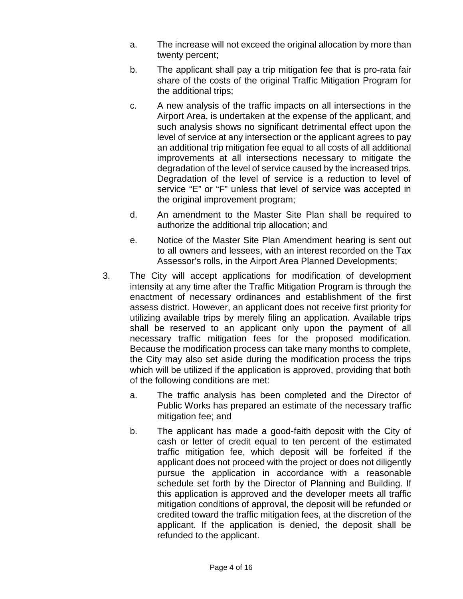- a. The increase will not exceed the original allocation by more than twenty percent;
- b. The applicant shall pay a trip mitigation fee that is pro-rata fair share of the costs of the original Traffic Mitigation Program for the additional trips;
- c. A new analysis of the traffic impacts on all intersections in the Airport Area, is undertaken at the expense of the applicant, and such analysis shows no significant detrimental effect upon the level of service at any intersection or the applicant agrees to pay an additional trip mitigation fee equal to all costs of all additional improvements at all intersections necessary to mitigate the degradation of the level of service caused by the increased trips. Degradation of the level of service is a reduction to level of service "E" or "F" unless that level of service was accepted in the original improvement program;
- d. An amendment to the Master Site Plan shall be required to authorize the additional trip allocation; and
- e. Notice of the Master Site Plan Amendment hearing is sent out to all owners and lessees, with an interest recorded on the Tax Assessor's rolls, in the Airport Area Planned Developments;
- 3. The City will accept applications for modification of development intensity at any time after the Traffic Mitigation Program is through the enactment of necessary ordinances and establishment of the first assess district. However, an applicant does not receive first priority for utilizing available trips by merely filing an application. Available trips shall be reserved to an applicant only upon the payment of all necessary traffic mitigation fees for the proposed modification. Because the modification process can take many months to complete, the City may also set aside during the modification process the trips which will be utilized if the application is approved, providing that both of the following conditions are met:
	- a. The traffic analysis has been completed and the Director of Public Works has prepared an estimate of the necessary traffic mitigation fee; and
	- b. The applicant has made a good-faith deposit with the City of cash or letter of credit equal to ten percent of the estimated traffic mitigation fee, which deposit will be forfeited if the applicant does not proceed with the project or does not diligently pursue the application in accordance with a reasonable schedule set forth by the Director of Planning and Building. If this application is approved and the developer meets all traffic mitigation conditions of approval, the deposit will be refunded or credited toward the traffic mitigation fees, at the discretion of the applicant. If the application is denied, the deposit shall be refunded to the applicant.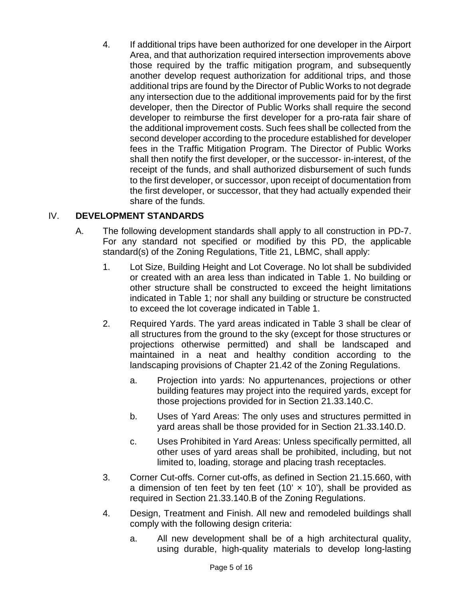4. If additional trips have been authorized for one developer in the Airport Area, and that authorization required intersection improvements above those required by the traffic mitigation program, and subsequently another develop request authorization for additional trips, and those additional trips are found by the Director of Public Works to not degrade any intersection due to the additional improvements paid for by the first developer, then the Director of Public Works shall require the second developer to reimburse the first developer for a pro-rata fair share of the additional improvement costs. Such fees shall be collected from the second developer according to the procedure established for developer fees in the Traffic Mitigation Program. The Director of Public Works shall then notify the first developer, or the successor- in-interest, of the receipt of the funds, and shall authorized disbursement of such funds to the first developer, or successor, upon receipt of documentation from the first developer, or successor, that they had actually expended their share of the funds.

# IV. **DEVELOPMENT STANDARDS**

- A. The following development standards shall apply to all construction in PD-7. For any standard not specified or modified by this PD, the applicable standard(s) of the Zoning Regulations, Title 21, LBMC, shall apply:
	- 1. Lot Size, Building Height and Lot Coverage. No lot shall be subdivided or created with an area less than indicated in Table 1. No building or other structure shall be constructed to exceed the height limitations indicated in Table 1; nor shall any building or structure be constructed to exceed the lot coverage indicated in Table 1.
	- 2. Required Yards. The yard areas indicated in Table 3 shall be clear of all structures from the ground to the sky (except for those structures or projections otherwise permitted) and shall be landscaped and maintained in a neat and healthy condition according to the landscaping provisions of Chapter 21.42 of the Zoning Regulations.
		- a. Projection into yards: No appurtenances, projections or other building features may project into the required yards, except for those projections provided for in Section 21.33.140.C.
		- b. Uses of Yard Areas: The only uses and structures permitted in yard areas shall be those provided for in Section 21.33.140.D.
		- c. Uses Prohibited in Yard Areas: Unless specifically permitted, all other uses of yard areas shall be prohibited, including, but not limited to, loading, storage and placing trash receptacles.
	- 3. Corner Cut-offs. Corner cut-offs, as defined in Section 21.15.660, with a dimension of ten feet by ten feet (10'  $\times$  10'), shall be provided as required in Section 21.33.140.B of the Zoning Regulations.
	- 4. Design, Treatment and Finish. All new and remodeled buildings shall comply with the following design criteria:
		- a. All new development shall be of a high architectural quality, using durable, high-quality materials to develop long-lasting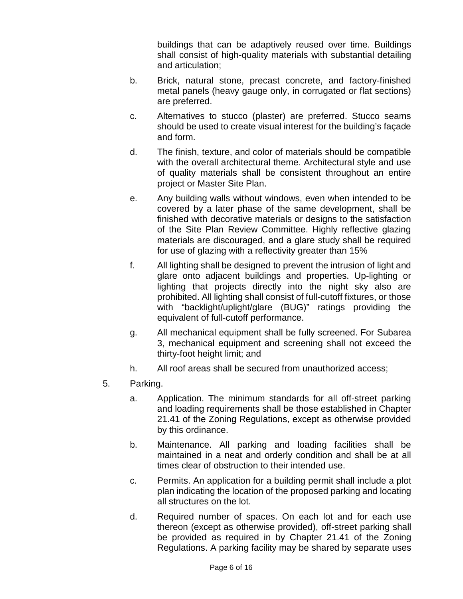buildings that can be adaptively reused over time. Buildings shall consist of high-quality materials with substantial detailing and articulation;

- b. Brick, natural stone, precast concrete, and factory-finished metal panels (heavy gauge only, in corrugated or flat sections) are preferred.
- c. Alternatives to stucco (plaster) are preferred. Stucco seams should be used to create visual interest for the building's façade and form.
- d. The finish, texture, and color of materials should be compatible with the overall architectural theme. Architectural style and use of quality materials shall be consistent throughout an entire project or Master Site Plan.
- e. Any building walls without windows, even when intended to be covered by a later phase of the same development, shall be finished with decorative materials or designs to the satisfaction of the Site Plan Review Committee. Highly reflective glazing materials are discouraged, and a glare study shall be required for use of glazing with a reflectivity greater than 15%
- f. All lighting shall be designed to prevent the intrusion of light and glare onto adjacent buildings and properties. Up-lighting or lighting that projects directly into the night sky also are prohibited. All lighting shall consist of full-cutoff fixtures, or those with "backlight/uplight/glare (BUG)" ratings providing the equivalent of full-cutoff performance.
- g. All mechanical equipment shall be fully screened. For Subarea 3, mechanical equipment and screening shall not exceed the thirty-foot height limit; and
- h. All roof areas shall be secured from unauthorized access;
- 5. Parking.
	- a. Application. The minimum standards for all off-street parking and loading requirements shall be those established in Chapter 21.41 of the Zoning Regulations, except as otherwise provided by this ordinance.
	- b. Maintenance. All parking and loading facilities shall be maintained in a neat and orderly condition and shall be at all times clear of obstruction to their intended use.
	- c. Permits. An application for a building permit shall include a plot plan indicating the location of the proposed parking and locating all structures on the lot.
	- d. Required number of spaces. On each lot and for each use thereon (except as otherwise provided), off-street parking shall be provided as required in by Chapter 21.41 of the Zoning Regulations. A parking facility may be shared by separate uses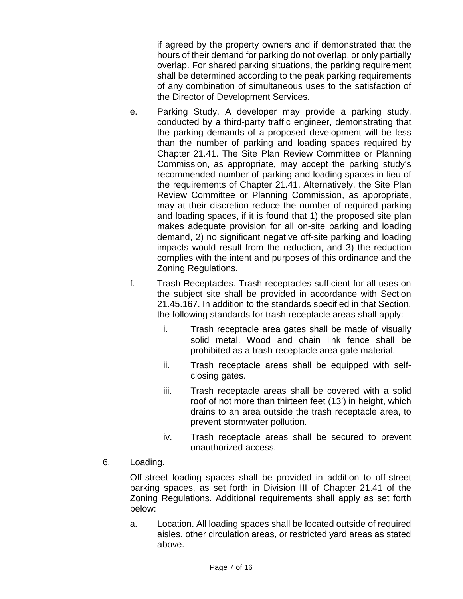if agreed by the property owners and if demonstrated that the hours of their demand for parking do not overlap, or only partially overlap. For shared parking situations, the parking requirement shall be determined according to the peak parking requirements of any combination of simultaneous uses to the satisfaction of the Director of Development Services.

- e. Parking Study. A developer may provide a parking study, conducted by a third-party traffic engineer, demonstrating that the parking demands of a proposed development will be less than the number of parking and loading spaces required by Chapter 21.41. The Site Plan Review Committee or Planning Commission, as appropriate, may accept the parking study's recommended number of parking and loading spaces in lieu of the requirements of Chapter 21.41. Alternatively, the Site Plan Review Committee or Planning Commission, as appropriate, may at their discretion reduce the number of required parking and loading spaces, if it is found that 1) the proposed site plan makes adequate provision for all on-site parking and loading demand, 2) no significant negative off-site parking and loading impacts would result from the reduction, and 3) the reduction complies with the intent and purposes of this ordinance and the Zoning Regulations.
- f. Trash Receptacles. Trash receptacles sufficient for all uses on the subject site shall be provided in accordance with Section 21.45.167. In addition to the standards specified in that Section, the following standards for trash receptacle areas shall apply:
	- i. Trash receptacle area gates shall be made of visually solid metal. Wood and chain link fence shall be prohibited as a trash receptacle area gate material.
	- ii. Trash receptacle areas shall be equipped with selfclosing gates.
	- iii. Trash receptacle areas shall be covered with a solid roof of not more than thirteen feet (13') in height, which drains to an area outside the trash receptacle area, to prevent stormwater pollution.
	- iv. Trash receptacle areas shall be secured to prevent unauthorized access.
- 6. Loading.

Off-street loading spaces shall be provided in addition to off-street parking spaces, as set forth in Division III of Chapter 21.41 of the Zoning Regulations. Additional requirements shall apply as set forth below:

a. Location. All loading spaces shall be located outside of required aisles, other circulation areas, or restricted yard areas as stated above.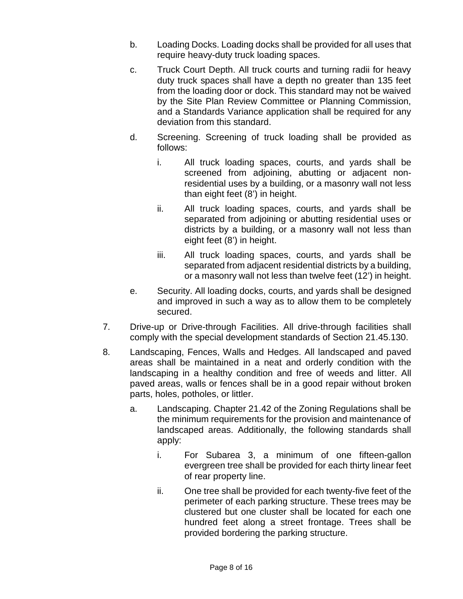- b. Loading Docks. Loading docks shall be provided for all uses that require heavy-duty truck loading spaces.
- c. Truck Court Depth. All truck courts and turning radii for heavy duty truck spaces shall have a depth no greater than 135 feet from the loading door or dock. This standard may not be waived by the Site Plan Review Committee or Planning Commission, and a Standards Variance application shall be required for any deviation from this standard.
- d. Screening. Screening of truck loading shall be provided as follows:
	- i. All truck loading spaces, courts, and yards shall be screened from adjoining, abutting or adjacent nonresidential uses by a building, or a masonry wall not less than eight feet (8') in height.
	- ii. All truck loading spaces, courts, and yards shall be separated from adjoining or abutting residential uses or districts by a building, or a masonry wall not less than eight feet (8') in height.
	- iii. All truck loading spaces, courts, and yards shall be separated from adjacent residential districts by a building, or a masonry wall not less than twelve feet (12') in height.
- e. Security. All loading docks, courts, and yards shall be designed and improved in such a way as to allow them to be completely secured.
- 7. Drive-up or Drive-through Facilities. All drive-through facilities shall comply with the special development standards of Section 21.45.130.
- 8. Landscaping, Fences, Walls and Hedges. All landscaped and paved areas shall be maintained in a neat and orderly condition with the landscaping in a healthy condition and free of weeds and litter. All paved areas, walls or fences shall be in a good repair without broken parts, holes, potholes, or littler.
	- a. Landscaping. Chapter 21.42 of the Zoning Regulations shall be the minimum requirements for the provision and maintenance of landscaped areas. Additionally, the following standards shall apply:
		- i. For Subarea 3, a minimum of one fifteen-gallon evergreen tree shall be provided for each thirty linear feet of rear property line.
		- ii. One tree shall be provided for each twenty-five feet of the perimeter of each parking structure. These trees may be clustered but one cluster shall be located for each one hundred feet along a street frontage. Trees shall be provided bordering the parking structure.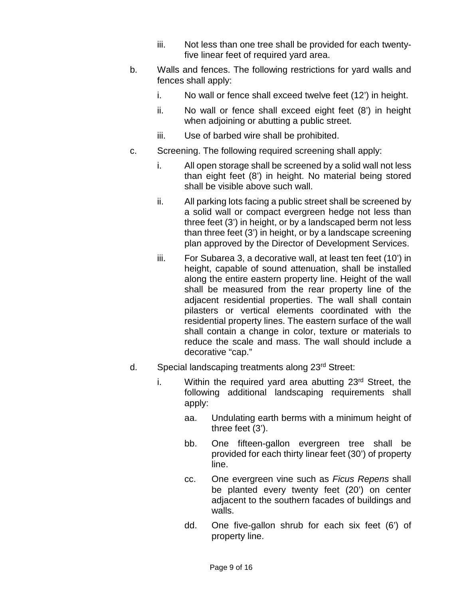- iii. Not less than one tree shall be provided for each twentyfive linear feet of required yard area.
- b. Walls and fences. The following restrictions for yard walls and fences shall apply:
	- i. No wall or fence shall exceed twelve feet (12') in height.
	- ii. No wall or fence shall exceed eight feet (8') in height when adjoining or abutting a public street.
	- iii. Use of barbed wire shall be prohibited.
- c. Screening. The following required screening shall apply:
	- i. All open storage shall be screened by a solid wall not less than eight feet (8') in height. No material being stored shall be visible above such wall.
	- ii. All parking lots facing a public street shall be screened by a solid wall or compact evergreen hedge not less than three feet (3') in height, or by a landscaped berm not less than three feet (3') in height, or by a landscape screening plan approved by the Director of Development Services.
	- iii. For Subarea 3, a decorative wall, at least ten feet (10') in height, capable of sound attenuation, shall be installed along the entire eastern property line. Height of the wall shall be measured from the rear property line of the adjacent residential properties. The wall shall contain pilasters or vertical elements coordinated with the residential property lines. The eastern surface of the wall shall contain a change in color, texture or materials to reduce the scale and mass. The wall should include a decorative "cap."
- d. Special landscaping treatments along 23<sup>rd</sup> Street:
	- i. Within the required yard area abutting  $23<sup>rd</sup>$  Street, the following additional landscaping requirements shall apply:
		- aa. Undulating earth berms with a minimum height of three feet (3').
		- bb. One fifteen-gallon evergreen tree shall be provided for each thirty linear feet (30') of property line.
		- cc. One evergreen vine such as *Ficus Repens* shall be planted every twenty feet (20') on center adjacent to the southern facades of buildings and walls.
		- dd. One five-gallon shrub for each six feet (6') of property line.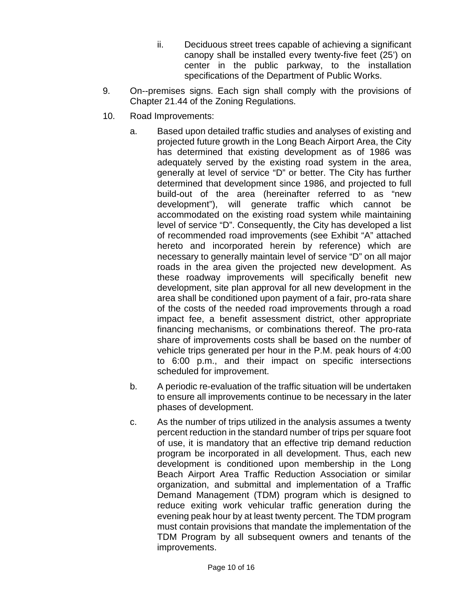- ii. Deciduous street trees capable of achieving a significant canopy shall be installed every twenty-five feet (25') on center in the public parkway, to the installation specifications of the Department of Public Works.
- 9. On--premises signs. Each sign shall comply with the provisions of Chapter 21.44 of the Zoning Regulations.
- 10. Road Improvements:
	- a. Based upon detailed traffic studies and analyses of existing and projected future growth in the Long Beach Airport Area, the City has determined that existing development as of 1986 was adequately served by the existing road system in the area, generally at level of service "D" or better. The City has further determined that development since 1986, and projected to full build-out of the area (hereinafter referred to as "new development"), will generate traffic which cannot be accommodated on the existing road system while maintaining level of service "D". Consequently, the City has developed a list of recommended road improvements (see Exhibit "A" attached hereto and incorporated herein by reference) which are necessary to generally maintain level of service "D" on all major roads in the area given the projected new development. As these roadway improvements will specifically benefit new development, site plan approval for all new development in the area shall be conditioned upon payment of a fair, pro-rata share of the costs of the needed road improvements through a road impact fee, a benefit assessment district, other appropriate financing mechanisms, or combinations thereof. The pro-rata share of improvements costs shall be based on the number of vehicle trips generated per hour in the P.M. peak hours of 4:00 to 6:00 p.m., and their impact on specific intersections scheduled for improvement.
	- b. A periodic re-evaluation of the traffic situation will be undertaken to ensure all improvements continue to be necessary in the later phases of development.
	- c. As the number of trips utilized in the analysis assumes a twenty percent reduction in the standard number of trips per square foot of use, it is mandatory that an effective trip demand reduction program be incorporated in all development. Thus, each new development is conditioned upon membership in the Long Beach Airport Area Traffic Reduction Association or similar organization, and submittal and implementation of a Traffic Demand Management (TDM) program which is designed to reduce exiting work vehicular traffic generation during the evening peak hour by at least twenty percent. The TDM program must contain provisions that mandate the implementation of the TDM Program by all subsequent owners and tenants of the improvements.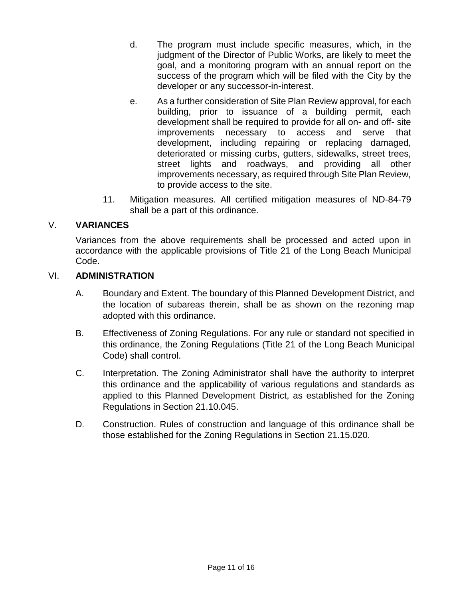- d. The program must include specific measures, which, in the judgment of the Director of Public Works, are likely to meet the goal, and a monitoring program with an annual report on the success of the program which will be filed with the City by the developer or any successor-in-interest.
- e. As a further consideration of Site Plan Review approval, for each building, prior to issuance of a building permit, each development shall be required to provide for all on- and off- site improvements necessary to access and serve that development, including repairing or replacing damaged, deteriorated or missing curbs, gutters, sidewalks, street trees, street lights and roadways, and providing all other improvements necessary, as required through Site Plan Review, to provide access to the site.
- 11. Mitigation measures. All certified mitigation measures of ND-84-79 shall be a part of this ordinance.

# V. **VARIANCES**

Variances from the above requirements shall be processed and acted upon in accordance with the applicable provisions of Title 21 of the Long Beach Municipal Code.

### VI. **ADMINISTRATION**

- A. Boundary and Extent. The boundary of this Planned Development District, and the location of subareas therein, shall be as shown on the rezoning map adopted with this ordinance.
- B. Effectiveness of Zoning Regulations. For any rule or standard not specified in this ordinance, the Zoning Regulations (Title 21 of the Long Beach Municipal Code) shall control.
- C. Interpretation. The Zoning Administrator shall have the authority to interpret this ordinance and the applicability of various regulations and standards as applied to this Planned Development District, as established for the Zoning Regulations in Section 21.10.045.
- D. Construction. Rules of construction and language of this ordinance shall be those established for the Zoning Regulations in Section 21.15.020.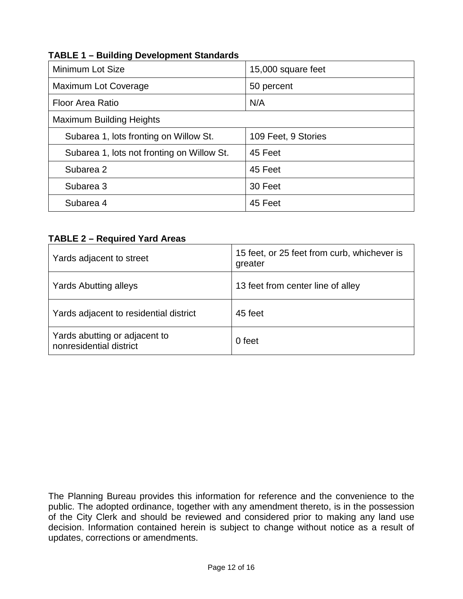| Minimum Lot Size                           | 15,000 square feet  |  |  |  |
|--------------------------------------------|---------------------|--|--|--|
| Maximum Lot Coverage                       | 50 percent          |  |  |  |
| <b>Floor Area Ratio</b>                    | N/A                 |  |  |  |
| <b>Maximum Building Heights</b>            |                     |  |  |  |
| Subarea 1, lots fronting on Willow St.     | 109 Feet, 9 Stories |  |  |  |
| Subarea 1, lots not fronting on Willow St. | 45 Feet             |  |  |  |
| Subarea 2                                  | 45 Feet             |  |  |  |
| Subarea 3                                  | 30 Feet             |  |  |  |
| Subarea 4                                  | 45 Feet             |  |  |  |
|                                            |                     |  |  |  |

# **TABLE 1 – Building Development Standards**

### **TABLE 2 – Required Yard Areas**

| Yards adjacent to street                                 | 15 feet, or 25 feet from curb, whichever is<br>greater |  |  |  |  |
|----------------------------------------------------------|--------------------------------------------------------|--|--|--|--|
| <b>Yards Abutting alleys</b>                             | 13 feet from center line of alley                      |  |  |  |  |
| Yards adjacent to residential district                   | 45 feet                                                |  |  |  |  |
| Yards abutting or adjacent to<br>nonresidential district | 0 feet                                                 |  |  |  |  |

The Planning Bureau provides this information for reference and the convenience to the public. The adopted ordinance, together with any amendment thereto, is in the possession of the City Clerk and should be reviewed and considered prior to making any land use decision. Information contained herein is subject to change without notice as a result of updates, corrections or amendments.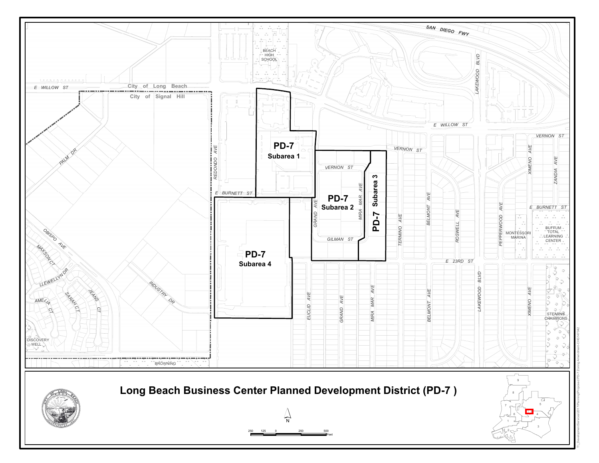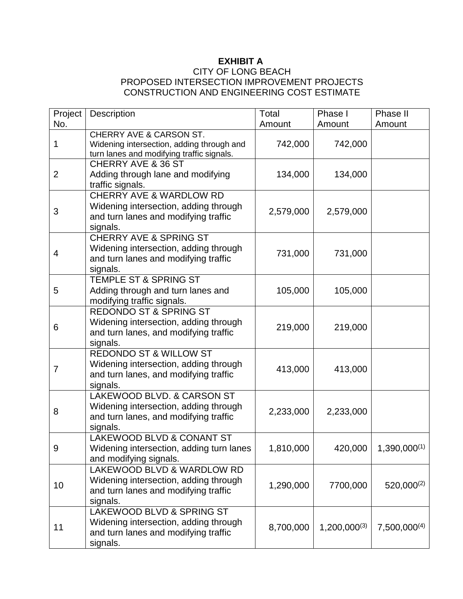# **EXHIBIT A**

### CITY OF LONG BEACH PROPOSED INTERSECTION IMPROVEMENT PROJECTS CONSTRUCTION AND ENGINEERING COST ESTIMATE

| Project        | <b>Description</b>                                                                                                              | Total     | Phase I           | Phase II          |
|----------------|---------------------------------------------------------------------------------------------------------------------------------|-----------|-------------------|-------------------|
| No.            |                                                                                                                                 | Amount    | Amount            | Amount            |
| 1              | <b>CHERRY AVE &amp; CARSON ST.</b><br>Widening intersection, adding through and<br>turn lanes and modifying traffic signals.    | 742,000   | 742,000           |                   |
| $\overline{2}$ | CHERRY AVE & 36 ST<br>Adding through lane and modifying<br>traffic signals.                                                     | 134,000   | 134,000           |                   |
| 3              | <b>CHERRY AVE &amp; WARDLOW RD</b><br>Widening intersection, adding through<br>and turn lanes and modifying traffic<br>signals. | 2,579,000 | 2,579,000         |                   |
| 4              | <b>CHERRY AVE &amp; SPRING ST</b><br>Widening intersection, adding through<br>and turn lanes and modifying traffic<br>signals.  | 731,000   | 731,000           |                   |
| 5              | <b>TEMPLE ST &amp; SPRING ST</b><br>Adding through and turn lanes and<br>modifying traffic signals.                             | 105,000   | 105,000           |                   |
| 6              | <b>REDONDO ST &amp; SPRING ST</b><br>Widening intersection, adding through<br>and turn lanes, and modifying traffic<br>signals. | 219,000   | 219,000           |                   |
| $\overline{7}$ | <b>REDONDO ST &amp; WILLOW ST</b><br>Widening intersection, adding through<br>and turn lanes, and modifying traffic<br>signals. | 413,000   | 413,000           |                   |
| 8              | LAKEWOOD BLVD, & CARSON ST<br>Widening intersection, adding through<br>and turn lanes, and modifying traffic<br>signals.        | 2,233,000 | 2,233,000         |                   |
| 9              | LAKEWOOD BLVD & CONANT ST<br>Widening intersection, adding turn lanes<br>and modifying signals.                                 | 1,810,000 | 420,000           | $1,390,000^{(1)}$ |
| 10             | LAKEWOOD BLVD & WARDLOW RD<br>Widening intersection, adding through<br>and turn lanes and modifying traffic<br>signals.         | 1,290,000 | 7700,000          | $520,000^{(2)}$   |
| 11             | LAKEWOOD BLVD & SPRING ST<br>Widening intersection, adding through<br>and turn lanes and modifying traffic<br>signals.          | 8,700,000 | $1,200,000^{(3)}$ | $7,500,000^{(4)}$ |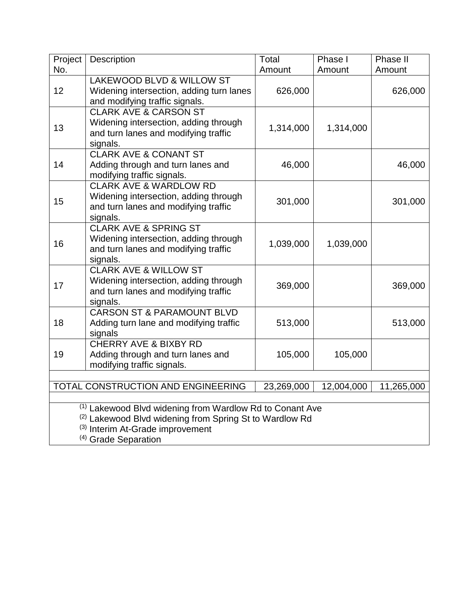| Project                                                                                                                                                                                                          | Description                                                                                                                    | Total     | Phase I   | Phase II |  |
|------------------------------------------------------------------------------------------------------------------------------------------------------------------------------------------------------------------|--------------------------------------------------------------------------------------------------------------------------------|-----------|-----------|----------|--|
| No.                                                                                                                                                                                                              |                                                                                                                                | Amount    | Amount    | Amount   |  |
| 12                                                                                                                                                                                                               | LAKEWOOD BLVD & WILLOW ST<br>Widening intersection, adding turn lanes<br>and modifying traffic signals.                        | 626,000   |           | 626,000  |  |
| 13                                                                                                                                                                                                               | <b>CLARK AVE &amp; CARSON ST</b><br>Widening intersection, adding through<br>and turn lanes and modifying traffic<br>signals.  | 1,314,000 | 1,314,000 |          |  |
| 14                                                                                                                                                                                                               | <b>CLARK AVE &amp; CONANT ST</b><br>Adding through and turn lanes and<br>modifying traffic signals.                            | 46,000    |           | 46,000   |  |
| 15                                                                                                                                                                                                               | <b>CLARK AVE &amp; WARDLOW RD</b><br>Widening intersection, adding through<br>and turn lanes and modifying traffic<br>signals. | 301,000   |           | 301,000  |  |
| 16                                                                                                                                                                                                               | <b>CLARK AVE &amp; SPRING ST</b><br>Widening intersection, adding through<br>and turn lanes and modifying traffic<br>signals.  | 1,039,000 | 1,039,000 |          |  |
| 17                                                                                                                                                                                                               | <b>CLARK AVE &amp; WILLOW ST</b><br>Widening intersection, adding through<br>and turn lanes and modifying traffic<br>signals.  | 369,000   |           | 369,000  |  |
| 18                                                                                                                                                                                                               | <b>CARSON ST &amp; PARAMOUNT BLVD</b><br>Adding turn lane and modifying traffic<br>signals                                     | 513,000   |           | 513,000  |  |
| 19                                                                                                                                                                                                               | <b>CHERRY AVE &amp; BIXBY RD</b><br>Adding through and turn lanes and<br>modifying traffic signals.                            | 105,000   | 105,000   |          |  |
|                                                                                                                                                                                                                  |                                                                                                                                |           |           |          |  |
| TOTAL CONSTRUCTION AND ENGINEERING<br>11,265,000<br>23,269,000<br>12,004,000                                                                                                                                     |                                                                                                                                |           |           |          |  |
| <sup>(1)</sup> Lakewood Blvd widening from Wardlow Rd to Conant Ave<br><sup>(2)</sup> Lakewood Blvd widening from Spring St to Wardlow Rd<br>(3) Interim At-Grade improvement<br><sup>(4)</sup> Grade Separation |                                                                                                                                |           |           |          |  |